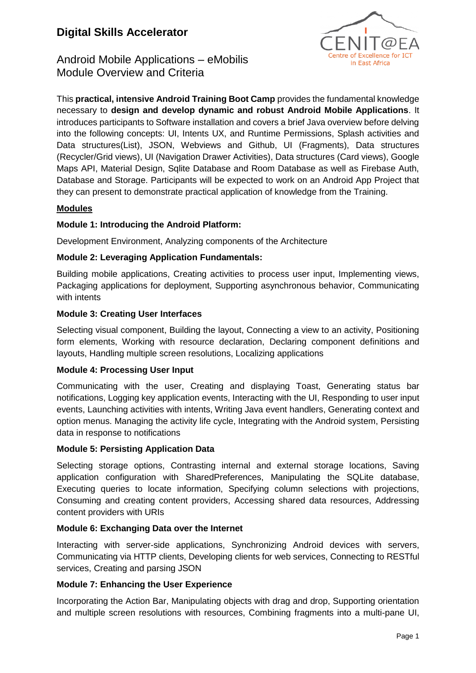# **Digital Skills Accelerator**



Android Mobile Applications – eMobilis Module Overview and Criteria

This **practical, intensive Android Training Boot Camp** provides the fundamental knowledge necessary to **design and develop dynamic and robust Android Mobile Applications**. It introduces participants to Software installation and covers a brief Java overview before delving into the following concepts: UI, Intents UX, and Runtime Permissions, Splash activities and Data structures(List), JSON, Webviews and Github, UI (Fragments), Data structures (Recycler/Grid views), UI (Navigation Drawer Activities), Data structures (Card views), Google Maps API, Material Design, Sqlite Database and Room Database as well as Firebase Auth, Database and Storage. Participants will be expected to work on an Android App Project that they can present to demonstrate practical application of knowledge from the Training.

# **Modules**

#### **Module 1: Introducing the Android Platform:**

Development Environment, Analyzing components of the Architecture

### **Module 2: Leveraging Application Fundamentals:**

Building mobile applications, Creating activities to process user input, Implementing views, Packaging applications for deployment, Supporting asynchronous behavior, Communicating with intents

### **Module 3: Creating User Interfaces**

Selecting visual component, Building the layout, Connecting a view to an activity, Positioning form elements, Working with resource declaration, Declaring component definitions and layouts, Handling multiple screen resolutions, Localizing applications

#### **Module 4: Processing User Input**

Communicating with the user, Creating and displaying Toast, Generating status bar notifications, Logging key application events, Interacting with the UI, Responding to user input events, Launching activities with intents, Writing Java event handlers, Generating context and option menus. Managing the activity life cycle, Integrating with the Android system, Persisting data in response to notifications

#### **Module 5: Persisting Application Data**

Selecting storage options, Contrasting internal and external storage locations, Saving application configuration with SharedPreferences, Manipulating the SQLite database, Executing queries to locate information, Specifying column selections with projections, Consuming and creating content providers, Accessing shared data resources, Addressing content providers with URIs

#### **Module 6: Exchanging Data over the Internet**

Interacting with server-side applications, Synchronizing Android devices with servers, Communicating via HTTP clients, Developing clients for web services, Connecting to RESTful services, Creating and parsing JSON

#### **Module 7: Enhancing the User Experience**

Incorporating the Action Bar, Manipulating objects with drag and drop, Supporting orientation and multiple screen resolutions with resources, Combining fragments into a multi-pane UI,